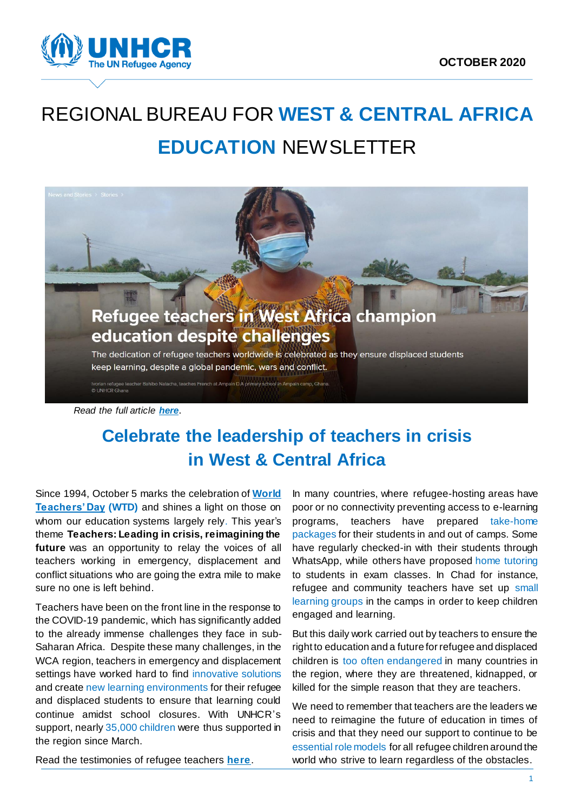

# REGIONAL BUREAU FOR **WEST & CENTRAL AFRICA EDUCATION** NEWSLETTER



## **Celebrate the leadership of teachers in crisis in West & Central Africa**

Since 1994, October 5 marks the celebration of **World Teachers' Day (WTD)** and shines a light on those on whom our education systems largely rely. This year's theme **[Teachers: Leading in crisis, reimagining the](https://en.unesco.org/commemorations/worldteachersday)  [future](https://en.unesco.org/commemorations/worldteachersday)** was an opportunity to relay the voices of all teachers working in emergency, displacement and conflict situations who are going the extra mile to make sure no one is left behind.

Teachers have been on the front line in the response to the COVID-19 pandemic, which has significantly added to the already immense challenges they face in sub-Saharan Africa. Despite these many challenges, in the WCA region, teachers in emergency and displacement settings have worked hard to find innovative solutions and create new learning environments for their refugee and displaced students to ensure that learning could continue amidst school closures. With UNHCR's support, nearly 35,000 children were thus supported in the region since March.

In many countries, where refugee-hosting areas have poor or no connectivity preventing access to e-learning programs, teachers have prepared take-home packages for their students in and out of camps. Some have regularly checked-in with their students through WhatsApp, while others have proposed home tutoring to students in exam classes. In Chad for instance, refugee and community teachers have set up small learning groups in the camps in order to keep children engaged and learning.

But this daily work carried out by teachers to ensure the right to education and a future for refugee and displaced children is too often endangered in many countries in the region, where they are threatened, kidnapped, or killed for the simple reason that they are teachers.

We need to remember that teachers are the leaders we need to reimagine the future of education in times of crisis and that they need our support to continue to be essential role models for all refugee children around the world who strive to learn regardless of the obstacles.

Read the testimonies of refugee teachers **[here](https://www.unhcr.org/afr/news/stories/2020/10/5f7adbc64/refugee-teachers-in-west-africa-champion-education-despite-challenges.html)**.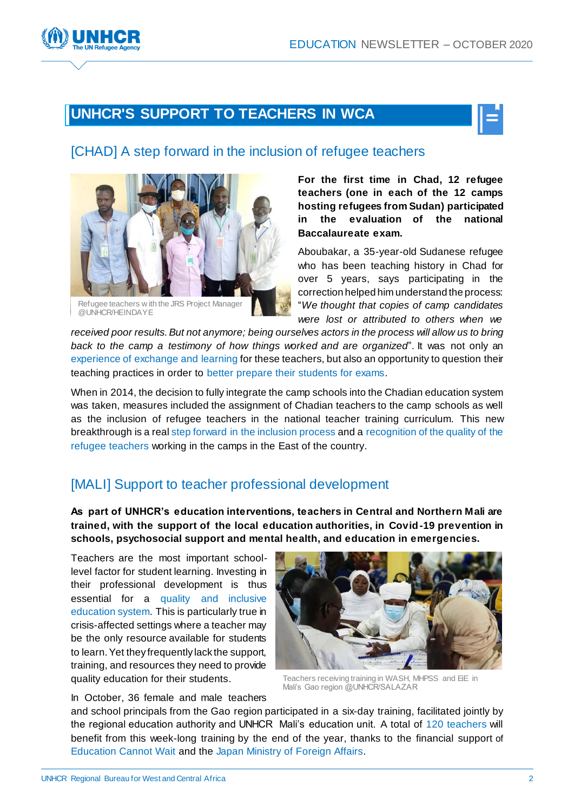## **UNHCR'S SUPPORT TO TEACHERS IN WCA**



#### [CHAD] A step forward in the inclusion of refugee teachers



**For the first time in Chad, 12 refugee teachers (one in each of the 12 camps hosting refugees from Sudan) participated in the evaluation of the national Baccalaureate exam.** 

Aboubakar, a 35-year-old Sudanese refugee who has been teaching history in Chad for over 5 years, says participating in the correction helped him understand the process: "*We thought that copies of camp candidates were lost or attributed to others when we* 

*received poor results. But not anymore; being ourselves actors in the process will allow us to bring back to the camp a testimony of how things worked and are organized*". It was not only an experience of exchange and learning for these teachers, but also an opportunity to question their teaching practices in order to better prepare their students for exams.

When in 2014, the decision to fully integrate the camp schools into the Chadian education system was taken, measures included the assignment of Chadian teachers to the camp schools as well as the inclusion of refugee teachers in the national teacher training curriculum. This new breakthrough is a real step forward in the inclusion process and a recognition of the quality of the refugee teachers working in the camps in the East of the country.

#### [MALI] Support to teacher professional development

**As part of UNHCR's education interventions, teachers in Central and Northern Mali are trained, with the support of the local education authorities, in Covid-19 prevention in schools, psychosocial support and mental health, and education in emergencies.** 

Teachers are the most important schoollevel factor for student learning. Investing in their professional development is thus essential for a quality and inclusive education system. This is particularly true in crisis-affected settings where a teacher may be the only resource available for students to learn. Yet they frequently lack the support, training, and resources they need to provide quality education for their students.



Teachers receiving training in WASH, MHPSS and EiE in Mali's Gao region @UNHCR/SALAZAR

In October, 36 female and male teachers

and school principals from the Gao region participated in a six-day training, facilitated jointly by the regional education authority and UNHCR Mali's education unit. A total of 120 teachers will benefit from this week-long training by the end of the year, thanks to the financial support of Education Cannot Wait and the Japan Ministry of Foreign Affairs.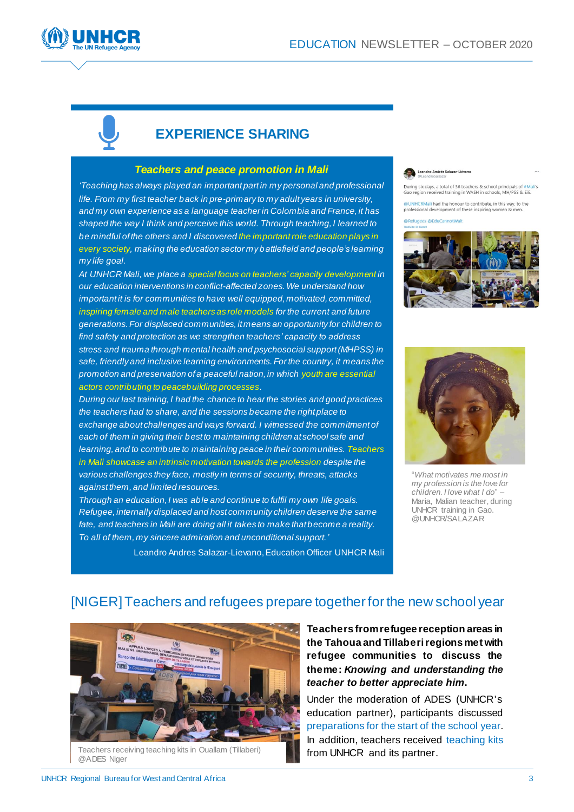



#### **EXPERIENCE SHARING**

#### *Teachers and peace promotion in Mali*

*'Teaching has always played an important part in my personal and professional life. From my first teacher back in pre-primary to my adult years in university, and my own experience as a language teacher in Colombia and France, it has shaped the way I think and perceive this world. Through teaching, I learned to be mindful of the others and I discovered the important role education plays in every society, making the education sector my battlefield and people's learning my life goal.* 

*At UNHCR Mali, we place a special focus on teachers' capacity development in our education interventions in conflict-affected zones. We understand how important it is for communities to have well equipped, motivated, committed, inspiring female and male teachers as role models for the current and future generations. For displaced communities, it means an opportunity for children to find safety and protection as we strengthen teachers' capacity to address stress and trauma through mental health and psychosocial support (MHPSS) in safe, friendly and inclusive learning environments. For the country, it means the promotion and preservation of a peaceful nation, in which youth are essential actors contributing to peacebuilding processes.*

*During our last training, I had the chance to hear the stories and good practices the teachers had to share, and the sessions became the right place to exchange about challenges and ways forward. I witnessed the commitment of each of them in giving their best to maintaining children at school safe and learning, and to contribute to maintaining peace in their communities. Teachers in Mali showcase an intrinsic motivation towards the profession despite the various challenges they face, mostly in terms of security, threats, attacks against them, and limited resources.*

*Through an education, I was able and continue to fulfil my own life goals. Refugee, internally displaced and host community children deserve the same fate, and teachers in Mali are doing all it takes to make that become a reality. To all of them, my sincere admiration and unconditional support.'*

Leandro Andrés Salazar-Liévano

During six days, a total of 36 teachers & school principals of #Mali's<br>Gao region received training in WASH in schools, MH/PSS & EiE.

ICRMali had the honour to contribute, in this way, to the professional development of these inspiring women & men es @EduCannotWait





"*What motivates me most in my profession is the love for children. I love what I do*" – Maria, Malian teacher, during UNHCR training in Gao. @UNHCR/SALAZAR

Leandro Andres Salazar-Lievano, Education Officer UNHCR Mali

#### [NIGER]Teachers and refugees prepare together for the new school year



Teachers receiving teaching kits in Ouallam (Tillaberi) @ADES Niger

**Teachers from refugee reception areas in the Tahoua and Tillaberi regions met with refugee communities to discuss the theme:** *Knowing and understanding the teacher to better appreciate him***.** 

Under the moderation of ADES (UNHCR's education partner), participants discussed preparations for the start of the school year. In addition, teachers received teaching kits from UNHCR and its partner.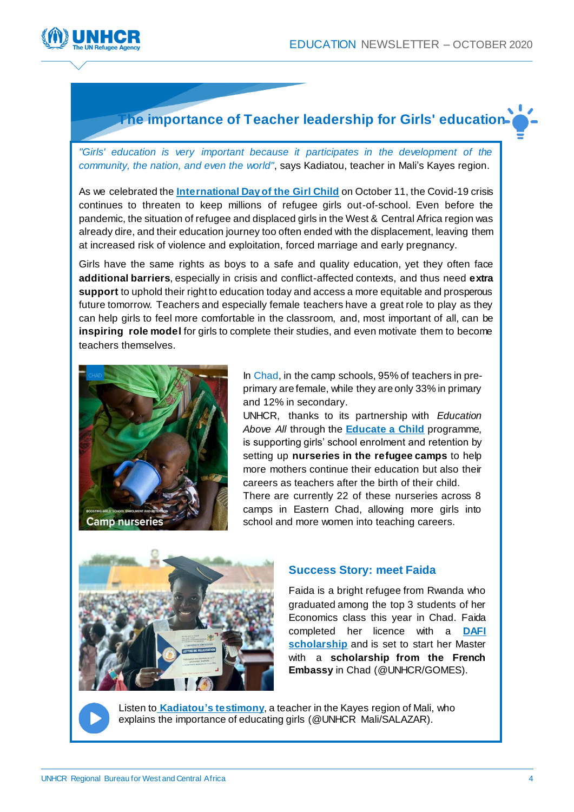

#### **The importance of Teacher leadership for Girls' education**

*"Girls' education is very important because it participates in the development of the community, the nation, and even the world"*, says Kadiatou, teacher in Mali's Kayes region.

As we celebrated the **[International Day of the Girl Child](https://www.un.org/en/observances/girl-child-day#:~:text=On%20December%2019%2C%202011%2C%20United,girls%20face%20around%20the%20world.)** on October 11, the Covid-19 crisis continues to threaten to keep millions of refugee girls out-of-school. Even before the pandemic, the situation of refugee and displaced girls in the West & Central Africa region was already dire, and their education journey too often ended with the displacement, leaving them at increased risk of violence and exploitation, forced marriage and early pregnancy.

Girls have the same rights as boys to a safe and quality education, yet they often face **additional barriers**, especially in crisis and conflict-affected contexts, and thus need **extra support** to uphold their right to education today and access a more equitable and prosperous future tomorrow. Teachers and especially female teachers have a great role to play as they can help girls to feel more comfortable in the classroom, and, most important of all, can be **inspiring role model** for girls to complete their studies, and even motivate them to become teachers themselves.



In Chad, in the camp schools, 95% of teachers in preprimary are female, while they are only 33% in primary and 12% in secondary.

UNHCR, thanks to its partnership with *Education Above All* through the **[Educate a Child](https://educateachild.org/)** programme, is supporting girls' school enrolment and retention by setting up **nurseries in the refugee camps** to help more mothers continue their education but also their careers as teachers after the birth of their child. There are currently 22 of these nurseries across 8 camps in Eastern Chad, allowing more girls into school and more women into teaching careers.



#### **Success Story: meet Faida**

Faida is a bright refugee from Rwanda who graduated among the top 3 students of her Economics class this year in Chad. Faida completed her licence with a **[DAFI](https://www.unhcr.org/dafi-scholarships.html)  [scholarship](https://www.unhcr.org/dafi-scholarships.html)** and is set to start her Master with a **scholarship from the French Embassy** in Chad (@UNHCR/GOMES).



Listen to **[Kadiatou'](https://twitter.com/LeandroSalsazar/status/1318148403193327616)s testimony**, a teacher in the Kayes region of Mali, who explains the importance of educating girls (@UNHCR Mali/SALAZAR).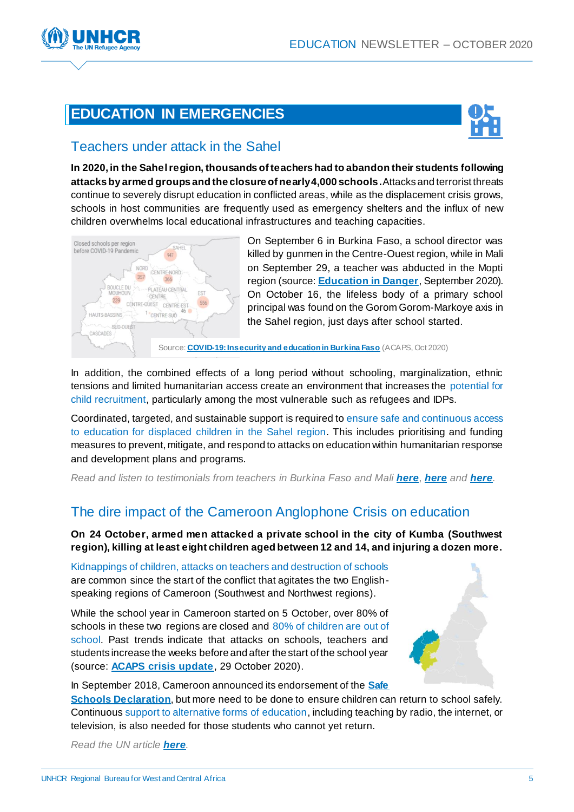

## **EDUCATION IN EMERGENCIES**



#### Teachers under attack in the Sahel

**In 2020, in the Sahel region, thousands of teachers had to abandon their students following attacks by armed groups and the closure of nearly 4,000 schools.**Attacks and terrorist threats continue to severely disrupt education in conflicted areas, while as the displacement crisis grows, schools in host communities are frequently used as emergency shelters and the influx of new children overwhelms local educational infrastructures and teaching capacities.



On September 6 in Burkina Faso, a school director was killed by gunmen in the Centre-Ouest region, while in Mali on September 29, a teacher was abducted in the Mopti region (source: **[Education in Danger](http://insecurityinsight.org/wp-content/uploads/2020/10/September-2020-Education-in-Danger-Monthly-News-Brief.pdf)**, September 2020). On October 16, the lifeless body of a primary school principal was found on the Gorom Gorom-Markoye axis in the Sahel region, just days after school started.

Source: **[COVID-19: Insecurity and education in Burkina Faso](https://www.acaps.org/sites/acaps/files/products/files/20201015_acaps_thematic_series_on_education_burkina_faso.pdf)** (ACAPS, Oct 2020)

In addition, the combined effects of a long period without schooling, marginalization, ethnic tensions and limited humanitarian access create an environment that increases the potential for child recruitment, particularly among the most vulnerable such as refugees and IDPs.

Coordinated, targeted, and sustainable support is required to ensure safe and continuous access to education for displaced children in the Sahel region. This includes prioritising and funding measures to prevent, mitigate, and respond to attacks on education within humanitarian response and development plans and programs.

*Read and listen to testimonials from teachers in Burkina Faso and Mali [here](https://www.rfi.fr/fr/afrique/20201021-burkina-faso-le-d%C3%A9sarroi-enseignants-fuyant-la-menace-jihadiste)*, *[her](https://www.rfi.fr/fr/afrique/20201021-mali-ecoles-enseignants-proie-menace-jihadiste)e and [her](https://www.rfi.fr/fr/podcasts/20201021-enseignants-cible-groupes-arm%C3%A9s-burkina-faso-badiel-syndicat-f-synter)e.*

### The dire impact of the Cameroon Anglophone Crisis on education

**On 24 October, armed men attacked a private school in the city of Kumba (Southwest region), killing at least eight children aged between 12 and 14, and injuring a dozen more.** 

Kidnappings of children, attacks on teachers and destruction of schools are common since the start of the conflict that agitates the two Englishspeaking regions of Cameroon (Southwest and Northwest regions).

While the school year in Cameroon started on 5 October, over 80% of schools in these two regions are closed and 80% of children are out of school. Past trends indicate that attacks on schools, teachers and students increase the weeks before and after the start of the school year (source: **[ACAPS crisis update](https://www.acaps.org/country/cameroon/crisis/anglophone-crisis)**, 29 October 2020).



In September 2018, Cameroon announced its endorsement of the **[Safe](https://protectingeducation.org/wp-content/uploads/documents/documents_safe_schools_declaration-final.pdf)  [Schools Declaration](https://protectingeducation.org/wp-content/uploads/documents/documents_safe_schools_declaration-final.pdf)**, but more need to be done to ensure children can return to school safely. Continuous support to alternative forms of education, including teaching by radio, the internet, or television, is also needed for those students who cannot yet return.

*Read the UN article [here](https://news.un.org/en/story/2020/10/1076112).*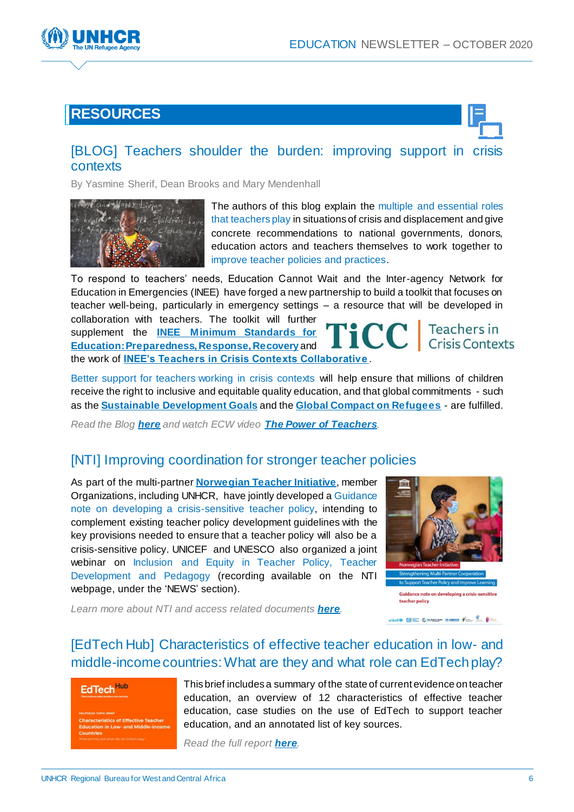

## **RESOURCES**



#### [\[BLOG\] Teachers shoulder the burden: improving support in crisis](https://www.educationcannotwait.org/teachers-shoulder-the-burden-improving-support-in-crisis-contexts-opinion/)  [contexts](https://www.educationcannotwait.org/teachers-shoulder-the-burden-improving-support-in-crisis-contexts-opinion/)

By Yasmine Sherif, Dean Brooks and Mary Mendenhall



The authors of this blog explain the multiple and essential roles that teachers play in situations of crisis and displacement and give concrete recommendations to national governments, donors, education actors and teachers themselves to work together to improve teacher policies and practices.

To respond to teachers' needs, Education Cannot Wait and the Inter-agency Network for Education in Emergencies (INEE) have forged a new partnership to build a toolkit that focuses on teacher well-being, particularly in emergency settings – a resource that will be developed in collaboration with teachers. The toolkit will further **FICC Teachers in** supplement the **[INEE Minimum Standards for](https://inee.org/standards)  [Education: Preparedness, Response, Recovery](https://inee.org/standards)** and

the work of **[INEE's Teachers in Crisis Contexts Collaborativ](https://inee.org/collaboratives/ticc)e** .

Better support for teachers working in crisis contexts will help ensure that millions of children receive the right to inclusive and equitable quality education, and that global commitments - such as the **[Sustainable Development Goals](https://www.un.org/sustainabledevelopment/education/)** and the **[Global Compact on Refugees](https://www.unhcr.org/en-us/the-global-compact-on-refugees.html)** - are fulfilled.

*Read the Blog [here](https://www.educationcannotwait.org/teachers-shoulder-the-burden-improving-support-in-crisis-contexts-opinion/) and watch ECW video [The Power of Teachers](https://www.youtube.com/watch?v=UbX0zfpCt9A).*

#### [\[NTI\] Improving coordination for stronger teacher policies](https://en.unesco.org/themes/teachers/ntihttps:/inee.org/collaboratives/ticc)

As part of the multi-partner **[Norwegian Teacher Initiative](https://en.unesco.org/themes/teachers/ntihttps:/inee.org/collaboratives/ticc)**, member Organizations, including UNHCR, have jointly developed a Guidance note on developing a crisis-sensitive teacher policy, intending to complement existing teacher policy development guidelines with the key provisions needed to ensure that a teacher policy will also be a crisis-sensitive policy. UNICEF and UNESCO also organized a joint webinar on Inclusion and Equity in Teacher Policy, Teacher Development and Pedagogy (recording available on the NTI webpage, under the 'NEWS' section).



*Learn more about NTI and access related documents [here](https://en.unesco.org/themes/teachers/nti).*

#### [\[EdTech Hub\] Characteristics of effective teacher education in low-](http://docs.edtechhub.org/lib/R9VVKUH5) and [middle-income countries: What are they and what role can EdTech play?](http://docs.edtechhub.org/lib/R9VVKUH5)

#### EdTech<sup>Hub</sup>

This brief includes a summary of the state of current evidence on teacher education, an overview of 12 characteristics of effective teacher education, case studies on the use of EdTech to support teacher education, and an annotated list of key sources.

*Read the full report [here](http://docs.edtechhub.org/lib/R9VVKUH5).*